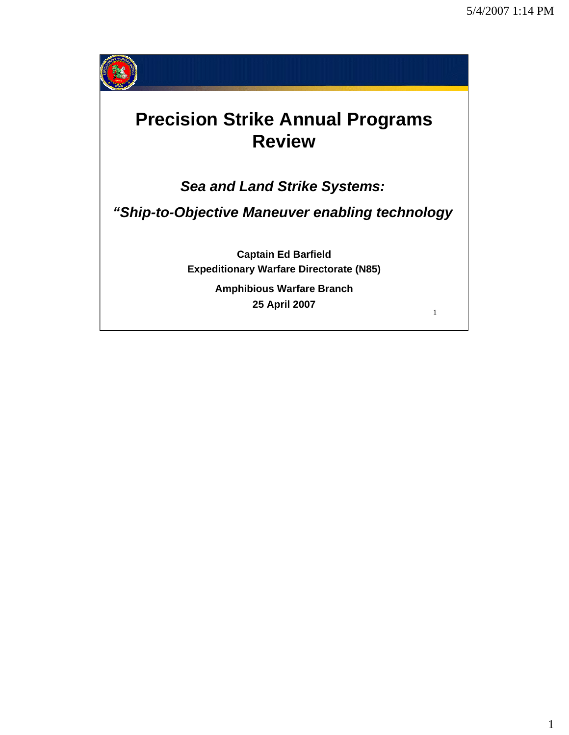1



## **Precision Strike Annual Programs Review**

*Sea and Land Strike Systems:*

*"Ship-to-Objective Maneuver enabling technology*

**Captain Ed Barfield Expeditionary Warfare Directorate (N85)**

> **Amphibious Warfare Branch 25 April 2007**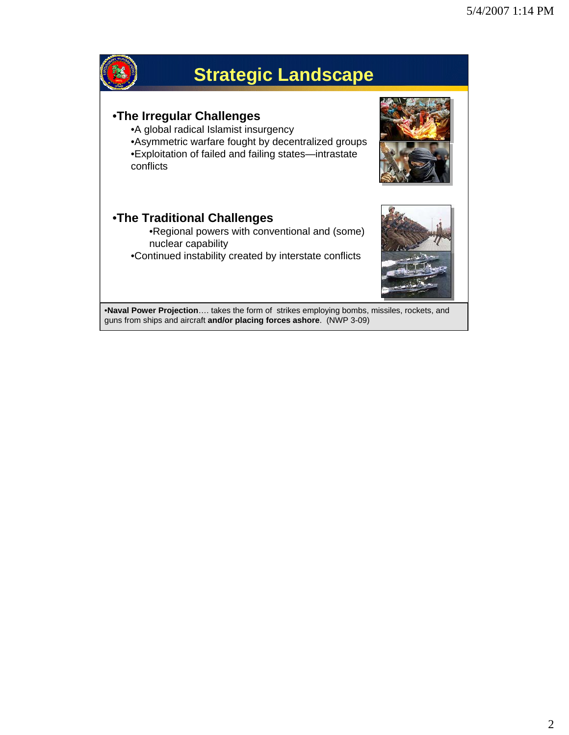

2 •**Naval Power Projection**…. takes the form of strikes employing bombs, missiles, rockets, and guns from ships and aircraft **and/or placing forces ashore**. (NWP 3-09)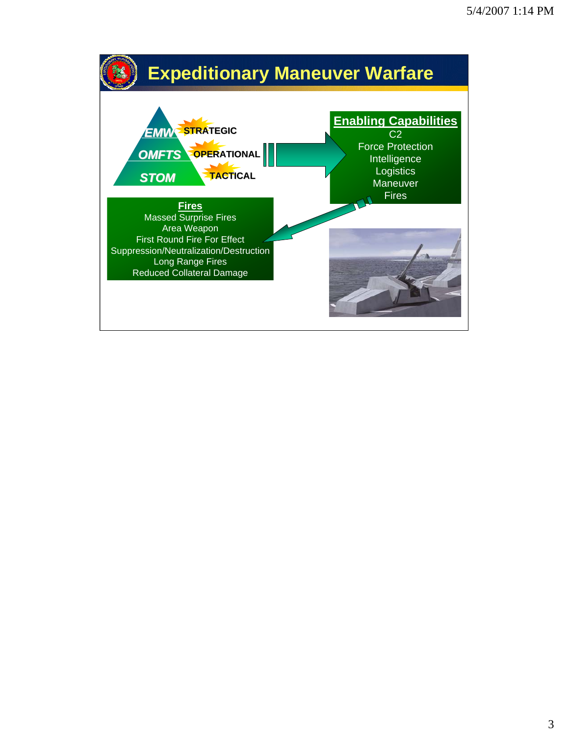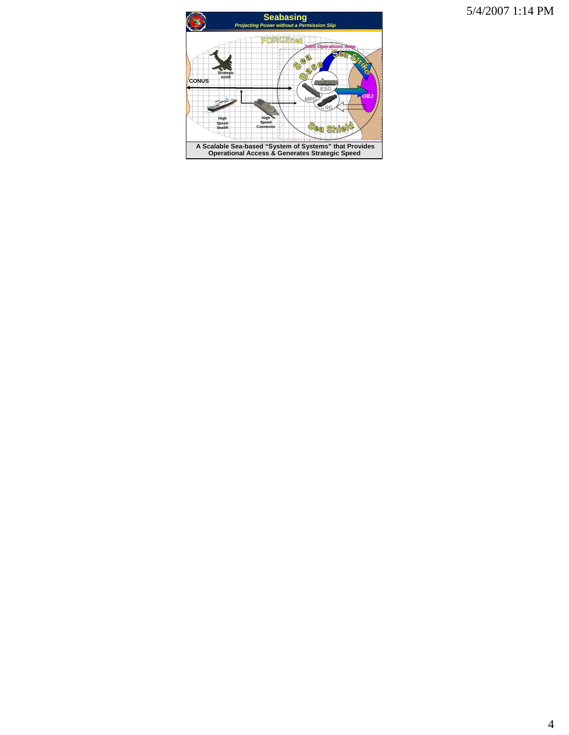5/4/2007 1:14 PM

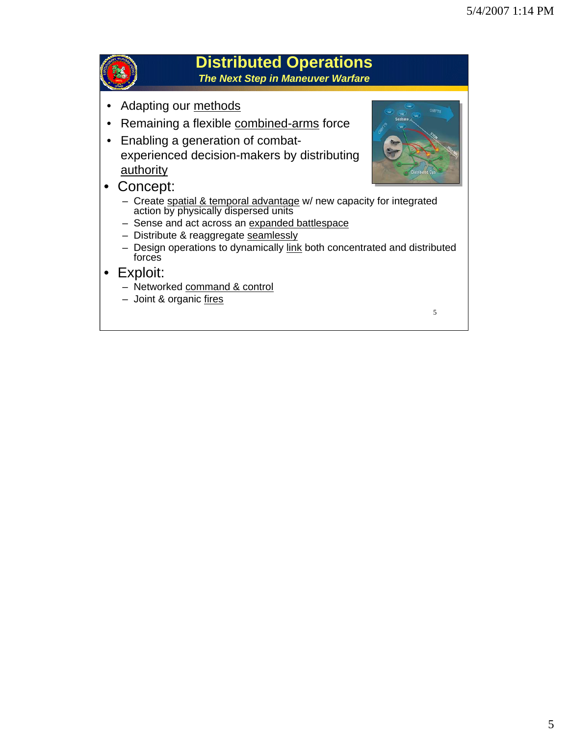

## **Distributed Operations**

*The Next Step in Maneuver Warfare*

- Adapting our methods
- Remaining a flexible combined-arms force
- Enabling a generation of combatexperienced decision-makers by distributing **authority**
- 
- Concept:
	- Create spatial & temporal advantage w/ new capacity for integrated action by physically dispersed units
	- Sense and act across an expanded battlespace
	- Distribute & reaggregate seamlessly
	- Design operations to dynamically link both concentrated and distributed forces
- Exploit:
	- Networked command & control
	- Joint & organic fires

5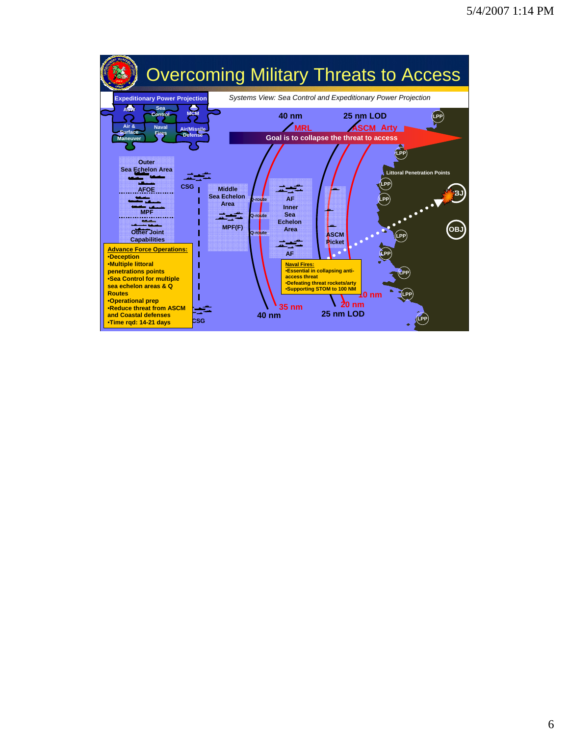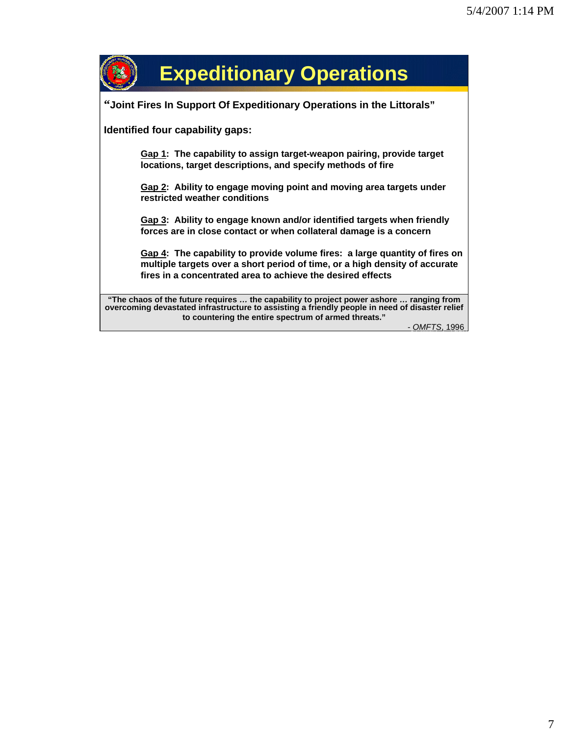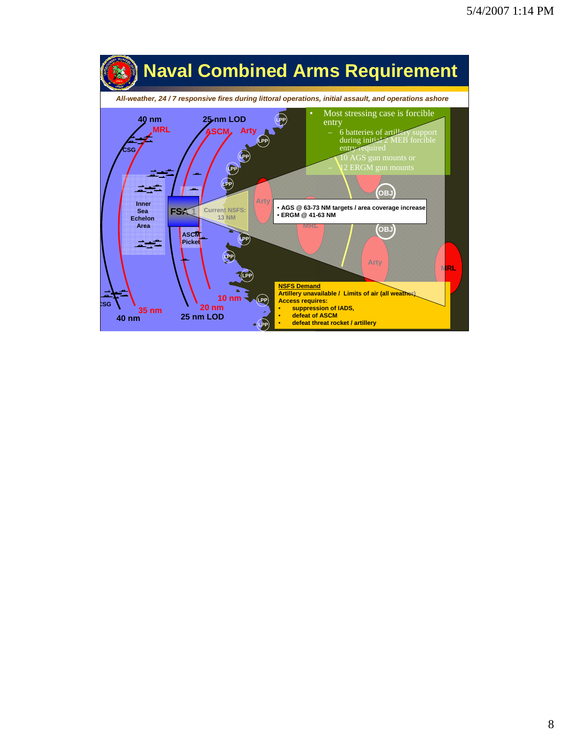